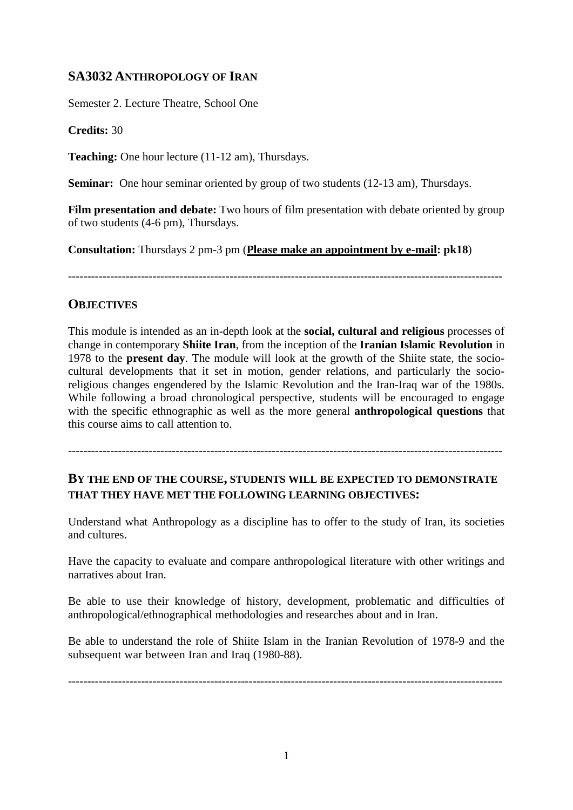# **SA3032 ANTHROPOLOGY OF IRAN**

Semester 2. Lecture Theatre, School One

**Credits:** 30

**Teaching:** One hour lecture (11-12 am), Thursdays.

**Seminar:** One hour seminar oriented by group of two students (12-13 am), Thursdays.

**Film presentation and debate:** Two hours of film presentation with debate oriented by group of two students (4-6 pm), Thursdays.

**Consultation:** Thursdays 2 pm-3 pm (**Please make an appointment by e-mail: pk18**)

-----------------------------------------------------------------------------------------------------------------

# **OBJECTIVES**

This module is intended as an in-depth look at the **social, cultural and religious** processes of change in contemporary **Shiite Iran**, from the inception of the **Iranian Islamic Revolution** in 1978 to the **present day**. The module will look at the growth of the Shiite state, the sociocultural developments that it set in motion, gender relations, and particularly the socioreligious changes engendered by the Islamic Revolution and the Iran-Iraq war of the 1980s. While following a broad chronological perspective, students will be encouraged to engage with the specific ethnographic as well as the more general **anthropological questions** that this course aims to call attention to.

-----------------------------------------------------------------------------------------------------------------

# **BY THE END OF THE COURSE, STUDENTS WILL BE EXPECTED TO DEMONSTRATE THAT THEY HAVE MET THE FOLLOWING LEARNING OBJECTIVES:**

Understand what Anthropology as a discipline has to offer to the study of Iran, its societies and cultures.

Have the capacity to evaluate and compare anthropological literature with other writings and narratives about Iran.

Be able to use their knowledge of history, development, problematic and difficulties of anthropological/ethnographical methodologies and researches about and in Iran.

Be able to understand the role of Shiite Islam in the Iranian Revolution of 1978-9 and the subsequent war between Iran and Iraq (1980-88).

-----------------------------------------------------------------------------------------------------------------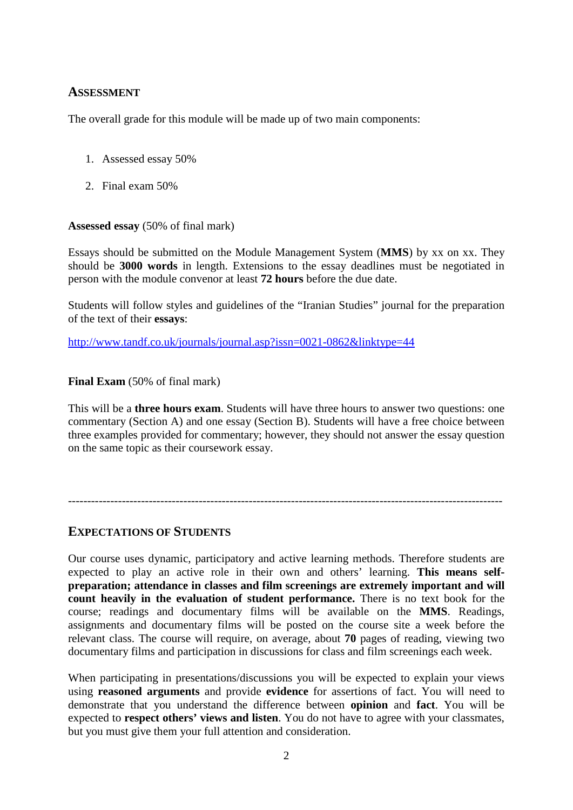## **ASSESSMENT**

The overall grade for this module will be made up of two main components:

- 1. Assessed essay 50%
- 2. Final exam 50%

#### **Assessed essay** (50% of final mark)

Essays should be submitted on the Module Management System (**MMS**) by xx on xx. They should be **3000 words** in length. Extensions to the essay deadlines must be negotiated in person with the module convenor at least **72 hours** before the due date.

Students will follow styles and guidelines of the "Iranian Studies" journal for the preparation of the text of their **essays**:

http://www.tandf.co.uk/journals/journal.asp?issn=0021-0862&linktype=44

#### **Final Exam** (50% of final mark)

This will be a **three hours exam**. Students will have three hours to answer two questions: one commentary (Section A) and one essay (Section B). Students will have a free choice between three examples provided for commentary; however, they should not answer the essay question on the same topic as their coursework essay.

-----------------------------------------------------------------------------------------------------------------

#### **EXPECTATIONS OF STUDENTS**

Our course uses dynamic, participatory and active learning methods. Therefore students are expected to play an active role in their own and others' learning. **This means selfpreparation; attendance in classes and film screenings are extremely important and will count heavily in the evaluation of student performance.** There is no text book for the course; readings and documentary films will be available on the **MMS**. Readings, assignments and documentary films will be posted on the course site a week before the relevant class. The course will require, on average, about **70** pages of reading, viewing two documentary films and participation in discussions for class and film screenings each week.

When participating in presentations/discussions you will be expected to explain your views using **reasoned arguments** and provide **evidence** for assertions of fact. You will need to demonstrate that you understand the difference between **opinion** and **fact**. You will be expected to **respect others' views and listen**. You do not have to agree with your classmates, but you must give them your full attention and consideration.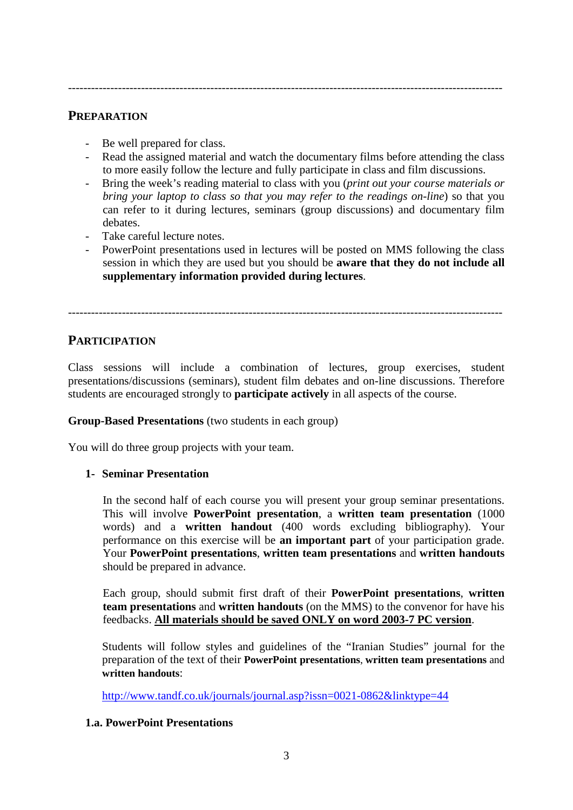### **PREPARATION**

- Be well prepared for class.
- Read the assigned material and watch the documentary films before attending the class to more easily follow the lecture and fully participate in class and film discussions.
- Bring the week's reading material to class with you (*print out your course materials or bring your laptop to class so that you may refer to the readings on-line*) so that you can refer to it during lectures, seminars (group discussions) and documentary film debates.
- Take careful lecture notes.
- PowerPoint presentations used in lectures will be posted on MMS following the class session in which they are used but you should be **aware that they do not include all supplementary information provided during lectures**.

-----------------------------------------------------------------------------------------------------------------

# **PARTICIPATION**

Class sessions will include a combination of lectures, group exercises, student presentations/discussions (seminars), student film debates and on-line discussions. Therefore students are encouraged strongly to **participate actively** in all aspects of the course.

#### **Group-Based Presentations** (two students in each group)

You will do three group projects with your team.

#### **1- Seminar Presentation**

In the second half of each course you will present your group seminar presentations. This will involve **PowerPoint presentation**, a **written team presentation** (1000 words) and a **written handout** (400 words excluding bibliography). Your performance on this exercise will be **an important part** of your participation grade. Your **PowerPoint presentations**, **written team presentations** and **written handouts**  should be prepared in advance.

Each group, should submit first draft of their **PowerPoint presentations**, **written team presentations** and **written handouts** (on the MMS) to the convenor for have his feedbacks. **All materials should be saved ONLY on word 2003-7 PC version**.

Students will follow styles and guidelines of the "Iranian Studies" journal for the preparation of the text of their **PowerPoint presentations**, **written team presentations** and **written handouts**:

http://www.tandf.co.uk/journals/journal.asp?issn=0021-0862&linktype=44

#### **1.a. PowerPoint Presentations**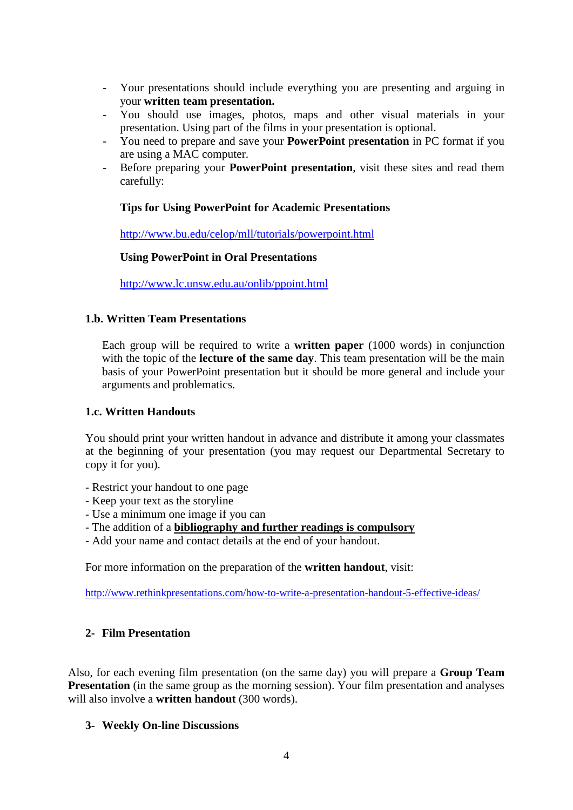- Your presentations should include everything you are presenting and arguing in your **written team presentation.**
- You should use images, photos, maps and other visual materials in your presentation. Using part of the films in your presentation is optional.
- You need to prepare and save your **PowerPoint** p**resentation** in PC format if you are using a MAC computer.
- Before preparing your **PowerPoint presentation**, visit these sites and read them carefully:

#### **Tips for Using PowerPoint for Academic Presentations**

http://www.bu.edu/celop/mll/tutorials/powerpoint.html

#### **Using PowerPoint in Oral Presentations**

http://www.lc.unsw.edu.au/onlib/ppoint.html

#### **1.b. Written Team Presentations**

Each group will be required to write a **written paper** (1000 words) in conjunction with the topic of the **lecture of the same day**. This team presentation will be the main basis of your PowerPoint presentation but it should be more general and include your arguments and problematics.

#### **1.c. Written Handouts**

You should print your written handout in advance and distribute it among your classmates at the beginning of your presentation (you may request our Departmental Secretary to copy it for you).

- Restrict your handout to one page
- Keep your text as the storyline
- Use a minimum one image if you can
- The addition of a **bibliography and further readings is compulsory**
- Add your name and contact details at the end of your handout.

For more information on the preparation of the **written handout**, visit:

http://www.rethinkpresentations.com/how-to-write-a-presentation-handout-5-effective-ideas/

#### **2- Film Presentation**

Also, for each evening film presentation (on the same day) you will prepare a **Group Team Presentation** (in the same group as the morning session). Your film presentation and analyses will also involve a **written handout** (300 words).

#### **3- Weekly On-line Discussions**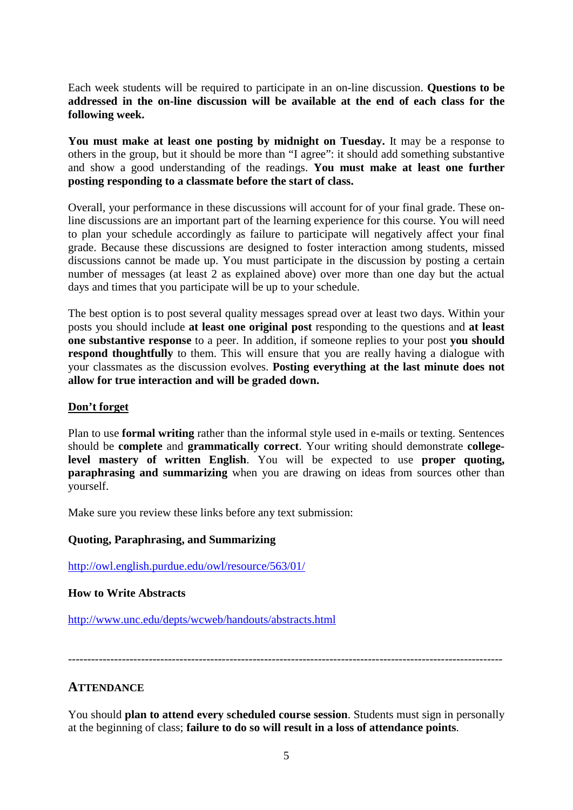Each week students will be required to participate in an on-line discussion. **Questions to be addressed in the on-line discussion will be available at the end of each class for the following week.** 

**You must make at least one posting by midnight on Tuesday.** It may be a response to others in the group, but it should be more than "I agree": it should add something substantive and show a good understanding of the readings. **You must make at least one further posting responding to a classmate before the start of class.**

Overall, your performance in these discussions will account for of your final grade. These online discussions are an important part of the learning experience for this course. You will need to plan your schedule accordingly as failure to participate will negatively affect your final grade. Because these discussions are designed to foster interaction among students, missed discussions cannot be made up. You must participate in the discussion by posting a certain number of messages (at least 2 as explained above) over more than one day but the actual days and times that you participate will be up to your schedule.

The best option is to post several quality messages spread over at least two days. Within your posts you should include **at least one original post** responding to the questions and **at least one substantive response** to a peer. In addition, if someone replies to your post **you should respond thoughtfully** to them. This will ensure that you are really having a dialogue with your classmates as the discussion evolves. **Posting everything at the last minute does not allow for true interaction and will be graded down.**

#### **Don't forget**

Plan to use **formal writing** rather than the informal style used in e-mails or texting. Sentences should be **complete** and **grammatically correct**. Your writing should demonstrate **collegelevel mastery of written English**. You will be expected to use **proper quoting, paraphrasing and summarizing** when you are drawing on ideas from sources other than yourself.

Make sure you review these links before any text submission:

#### **Quoting, Paraphrasing, and Summarizing**

http://owl.english.purdue.edu/owl/resource/563/01/

#### **How to Write Abstracts**

http://www.unc.edu/depts/wcweb/handouts/abstracts.html

-----------------------------------------------------------------------------------------------------------------

#### **ATTENDANCE**

You should **plan to attend every scheduled course session**. Students must sign in personally at the beginning of class; **failure to do so will result in a loss of attendance points**.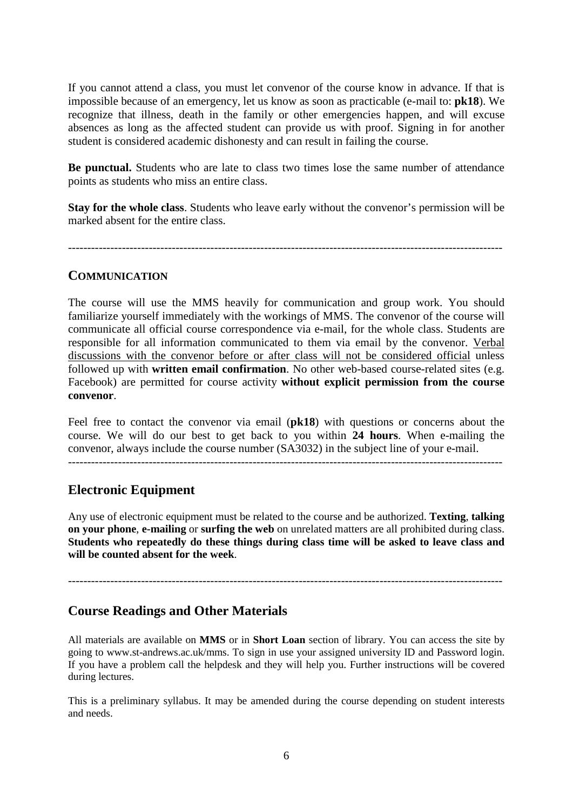If you cannot attend a class, you must let convenor of the course know in advance. If that is impossible because of an emergency, let us know as soon as practicable (e-mail to: **pk18**). We recognize that illness, death in the family or other emergencies happen, and will excuse absences as long as the affected student can provide us with proof. Signing in for another student is considered academic dishonesty and can result in failing the course.

**Be punctual.** Students who are late to class two times lose the same number of attendance points as students who miss an entire class.

**Stay for the whole class**. Students who leave early without the convenor's permission will be marked absent for the entire class.

-----------------------------------------------------------------------------------------------------------------

#### **COMMUNICATION**

The course will use the MMS heavily for communication and group work. You should familiarize yourself immediately with the workings of MMS. The convenor of the course will communicate all official course correspondence via e-mail, for the whole class. Students are responsible for all information communicated to them via email by the convenor. Verbal discussions with the convenor before or after class will not be considered official unless followed up with **written email confirmation**. No other web-based course-related sites (e.g. Facebook) are permitted for course activity **without explicit permission from the course convenor**.

Feel free to contact the convenor via email (**pk18**) with questions or concerns about the course. We will do our best to get back to you within **24 hours**. When e-mailing the convenor, always include the course number (SA3032) in the subject line of your e-mail. -----------------------------------------------------------------------------------------------------------------

## **Electronic Equipment**

Any use of electronic equipment must be related to the course and be authorized. **Texting**, **talking on your phone**, **e-mailing** or **surfing the web** on unrelated matters are all prohibited during class. **Students who repeatedly do these things during class time will be asked to leave class and will be counted absent for the week**.

-----------------------------------------------------------------------------------------------------------------

## **Course Readings and Other Materials**

All materials are available on **MMS** or in **Short Loan** section of library. You can access the site by going to www.st-andrews.ac.uk/mms. To sign in use your assigned university ID and Password login. If you have a problem call the helpdesk and they will help you. Further instructions will be covered during lectures.

This is a preliminary syllabus. It may be amended during the course depending on student interests and needs.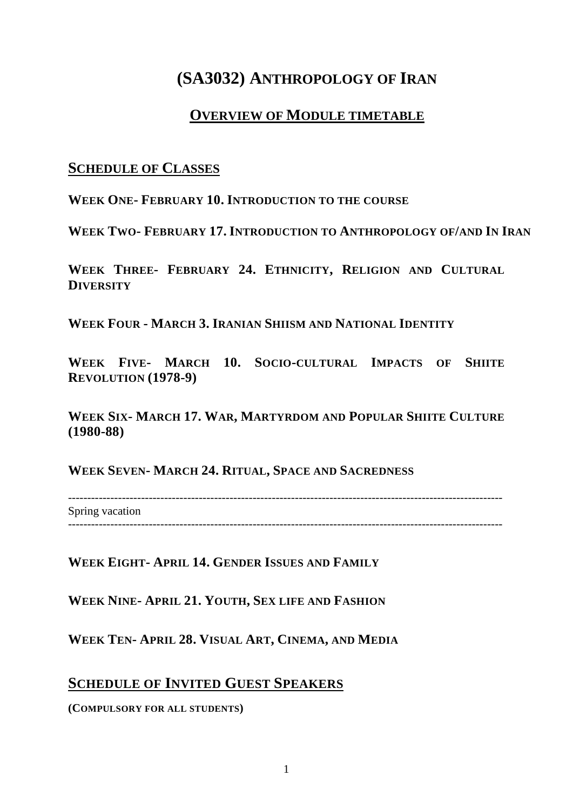# **(SA3032) ANTHROPOLOGY OF IRAN**

# **OVERVIEW OF MODULE TIMETABLE**

# **SCHEDULE OF CLASSES**

**WEEK ONE- FEBRUARY 10. INTRODUCTION TO THE COURSE**

**WEEK TWO- FEBRUARY 17. INTRODUCTION TO ANTHROPOLOGY OF/AND IN IRAN**

**WEEK THREE- FEBRUARY 24. ETHNICITY, RELIGION AND CULTURAL DIVERSITY** 

**WEEK FOUR - MARCH 3. IRANIAN SHIISM AND NATIONAL IDENTITY**

**WEEK FIVE- MARCH 10. SOCIO-CULTURAL IMPACTS OF SHIITE REVOLUTION (1978-9)**

**WEEK SIX- MARCH 17. WAR, MARTYRDOM AND POPULAR SHIITE CULTURE (1980-88)**

**WEEK SEVEN- MARCH 24. RITUAL, SPACE AND SACREDNESS**

----------------------------------------------------------------------------------------------------------------- Spring vacation

-----------------------------------------------------------------------------------------------------------------

**WEEK EIGHT- APRIL 14. GENDER ISSUES AND FAMILY**

**WEEK NINE- APRIL 21. YOUTH, SEX LIFE AND FASHION**

**WEEK TEN- APRIL 28. VISUAL ART, CINEMA, AND MEDIA**

# **SCHEDULE OF INVITED GUEST SPEAKERS**

**(COMPULSORY FOR ALL STUDENTS)**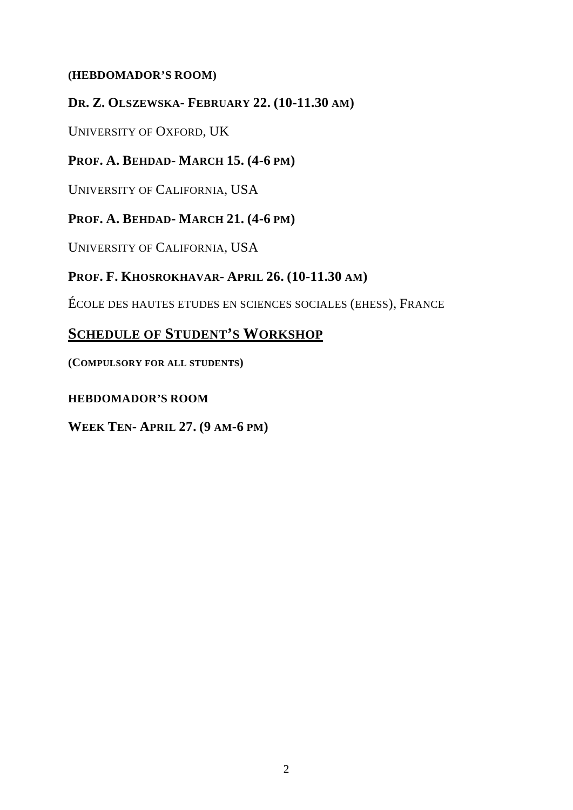# **(HEBDOMADOR'S ROOM)**

# **DR. Z. OLSZEWSKA- FEBRUARY 22. (10-11.30 AM)**

UNIVERSITY OF OXFORD, UK

# **PROF. A. BEHDAD- MARCH 15. (4-6 PM)**

UNIVERSITY OF CALIFORNIA, USA

# **PROF. A. BEHDAD- MARCH 21. (4-6 PM)**

UNIVERSITY OF CALIFORNIA, USA

# **PROF. F. KHOSROKHAVAR- APRIL 26. (10-11.30 AM)**

ÉCOLE DES HAUTES ETUDES EN SCIENCES SOCIALES (EHESS), FRANCE

# **SCHEDULE OF STUDENT'S WORKSHOP**

**(COMPULSORY FOR ALL STUDENTS)** 

# **HEBDOMADOR'S ROOM**

**WEEK TEN- APRIL 27. (9 AM-6 PM)**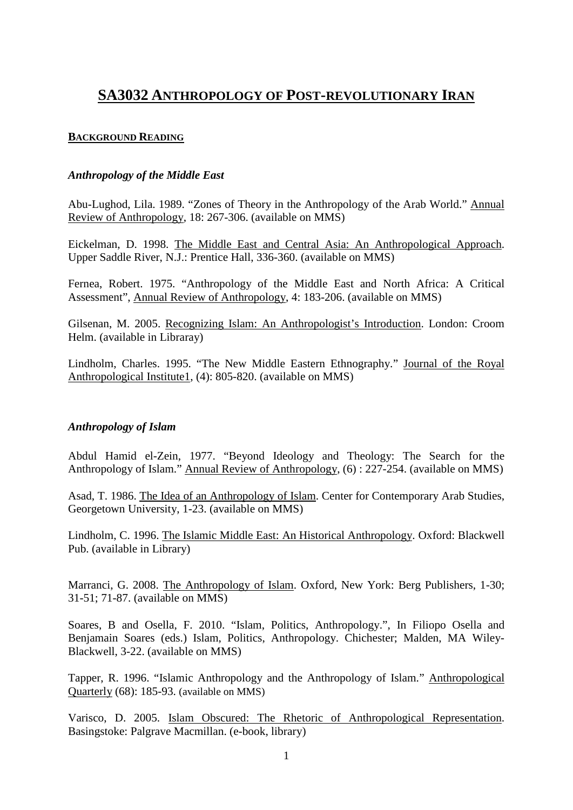# **SA3032 ANTHROPOLOGY OF POST-REVOLUTIONARY IRAN**

#### **BACKGROUND READING**

#### *Anthropology of the Middle East*

Abu-Lughod, Lila. 1989. "Zones of Theory in the Anthropology of the Arab World." Annual Review of Anthropology, 18: 267-306. (available on MMS)

Eickelman, D. 1998. The Middle East and Central Asia: An Anthropological Approach. Upper Saddle River, N.J.: Prentice Hall, 336-360. (available on MMS)

Fernea, Robert. 1975. "Anthropology of the Middle East and North Africa: A Critical Assessment", Annual Review of Anthropology, 4: 183-206. (available on MMS)

Gilsenan, M. 2005. Recognizing Islam: An Anthropologist's Introduction. London: Croom Helm. (available in Libraray)

Lindholm, Charles. 1995. "The New Middle Eastern Ethnography." Journal of the Royal Anthropological Institute1, (4): 805-820. (available on MMS)

#### *Anthropology of Islam*

Abdul Hamid el-Zein, 1977. "Beyond Ideology and Theology: The Search for the Anthropology of Islam." Annual Review of Anthropology, (6) : 227-254. (available on MMS)

Asad, T. 1986. The Idea of an Anthropology of Islam. Center for Contemporary Arab Studies, Georgetown University, 1-23. (available on MMS)

Lindholm, C. 1996. The Islamic Middle East: An Historical Anthropology. Oxford: Blackwell Pub. (available in Library)

Marranci, G. 2008. The Anthropology of Islam. Oxford, New York: Berg Publishers, 1-30; 31-51; 71-87. (available on MMS)

Soares, B and Osella, F. 2010. "Islam, Politics, Anthropology.", In Filiopo Osella and Benjamain Soares (eds.) Islam, Politics, Anthropology. Chichester; Malden, MA Wiley-Blackwell, 3-22. (available on MMS)

Tapper, R. 1996. "Islamic Anthropology and the Anthropology of Islam." Anthropological Quarterly (68): 185-93. (available on MMS)

Varisco, D. 2005. Islam Obscured: The Rhetoric of Anthropological Representation. Basingstoke: Palgrave Macmillan. (e-book, library)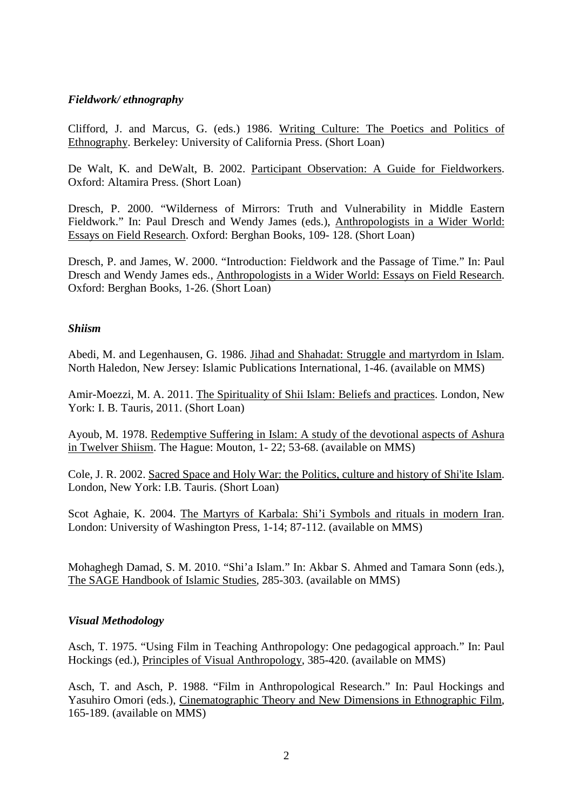#### *Fieldwork/ ethnography*

Clifford, J. and Marcus, G. (eds.) 1986. Writing Culture: The Poetics and Politics of Ethnography. Berkeley: University of California Press. (Short Loan)

De Walt, K. and DeWalt, B. 2002. Participant Observation: A Guide for Fieldworkers. Oxford: Altamira Press. (Short Loan)

Dresch, P. 2000. "Wilderness of Mirrors: Truth and Vulnerability in Middle Eastern Fieldwork." In: Paul Dresch and Wendy James (eds.), Anthropologists in a Wider World: Essays on Field Research. Oxford: Berghan Books, 109- 128. (Short Loan)

Dresch, P. and James, W. 2000. "Introduction: Fieldwork and the Passage of Time." In: Paul Dresch and Wendy James eds., Anthropologists in a Wider World: Essays on Field Research. Oxford: Berghan Books, 1-26. (Short Loan)

#### *Shiism*

Abedi, M. and Legenhausen, G. 1986. Jihad and Shahadat: Struggle and martyrdom in Islam. North Haledon, New Jersey: Islamic Publications International, 1-46. (available on MMS)

Amir-Moezzi, M. A. 2011. The Spirituality of Shii Islam: Beliefs and practices. London, New York: I. B. Tauris, 2011. (Short Loan)

Ayoub, M. 1978. Redemptive Suffering in Islam: A study of the devotional aspects of Ashura in Twelver Shiism. The Hague: Mouton, 1- 22; 53-68. (available on MMS)

Cole, J. R. 2002. Sacred Space and Holy War: the Politics, culture and history of Shi'ite Islam. London, New York: I.B. Tauris. (Short Loan)

Scot Aghaie, K. 2004. The Martyrs of Karbala: Shi'i Symbols and rituals in modern Iran. London: University of Washington Press, 1-14; 87-112. (available on MMS)

Mohaghegh Damad, S. M. 2010. "Shi'a Islam." In: Akbar S. Ahmed and Tamara Sonn (eds.), The SAGE Handbook of Islamic Studies, 285-303. (available on MMS)

#### *Visual Methodology*

Asch, T. 1975. "Using Film in Teaching Anthropology: One pedagogical approach." In: Paul Hockings (ed.), Principles of Visual Anthropology, 385-420. (available on MMS)

Asch, T. and Asch, P. 1988. "Film in Anthropological Research." In: Paul Hockings and Yasuhiro Omori (eds.), Cinematographic Theory and New Dimensions in Ethnographic Film, 165-189. (available on MMS)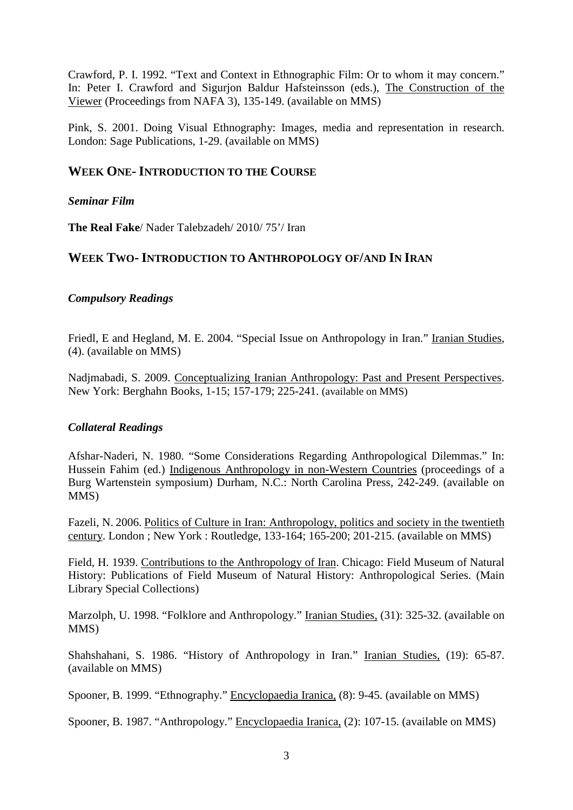Crawford, P. I. 1992. "Text and Context in Ethnographic Film: Or to whom it may concern." In: Peter I. Crawford and Sigurjon Baldur Hafsteinsson (eds.), The Construction of the Viewer (Proceedings from NAFA 3), 135-149. (available on MMS)

Pink, S. 2001. Doing Visual Ethnography: Images, media and representation in research. London: Sage Publications, 1-29. (available on MMS)

## **WEEK ONE-INTRODUCTION TO THE COURSE**

#### *Seminar Film*

**The Real Fake**/ Nader Talebzadeh/ 2010/ 75'/ Iran

## **WEEK TWO-INTRODUCTION TO ANTHROPOLOGY OF/AND IN IRAN**

#### *Compulsory Readings*

Friedl, E and Hegland, M. E. 2004. "Special Issue on Anthropology in Iran." Iranian Studies, (4). (available on MMS)

Nadjmabadi, S. 2009. Conceptualizing Iranian Anthropology: Past and Present Perspectives. New York: Berghahn Books, 1-15; 157-179; 225-241. (available on MMS)

#### *Collateral Readings*

Afshar-Naderi, N. 1980. "Some Considerations Regarding Anthropological Dilemmas." In: Hussein Fahim (ed.) Indigenous Anthropology in non-Western Countries (proceedings of a Burg Wartenstein symposium) Durham, N.C.: North Carolina Press, 242-249. (available on MMS)

Fazeli, N. 2006. Politics of Culture in Iran: Anthropology, politics and society in the twentieth century. London ; New York : Routledge, 133-164; 165-200; 201-215. (available on MMS)

Field, H. 1939. Contributions to the Anthropology of Iran. Chicago: Field Museum of Natural History: Publications of Field Museum of Natural History: Anthropological Series. (Main Library Special Collections)

Marzolph, U. 1998. "Folklore and Anthropology." Iranian Studies, (31): 325-32. (available on MMS)

Shahshahani, S. 1986. "History of Anthropology in Iran." Iranian Studies, (19): 65-87. (available on MMS)

Spooner, B. 1999. "Ethnography." Encyclopaedia Iranica, (8): 9-45. (available on MMS)

Spooner, B. 1987. "Anthropology." Encyclopaedia Iranica, (2): 107-15. (available on MMS)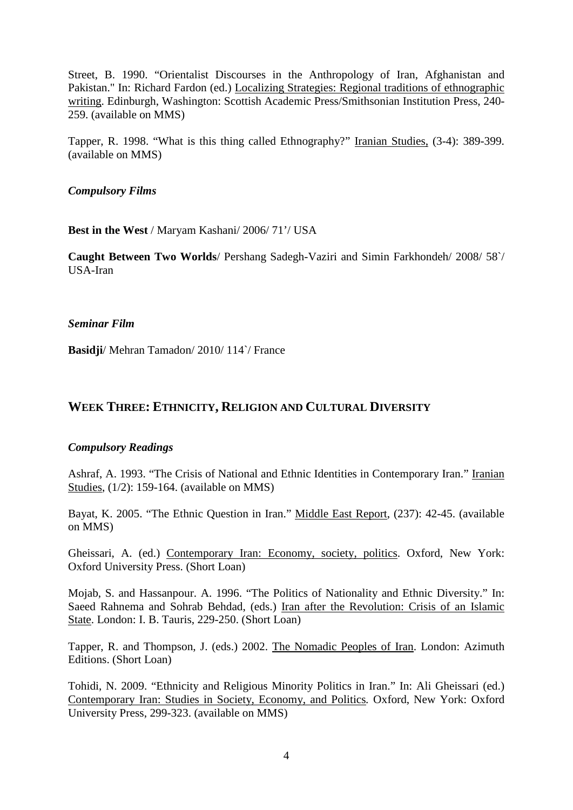Street, B. 1990. "Orientalist Discourses in the Anthropology of Iran, Afghanistan and Pakistan." In: Richard Fardon (ed.) Localizing Strategies: Regional traditions of ethnographic writing. Edinburgh, Washington: Scottish Academic Press/Smithsonian Institution Press, 240- 259. (available on MMS)

Tapper, R. 1998. "What is this thing called Ethnography?" Iranian Studies, (3-4): 389-399. (available on MMS)

*Compulsory Films*

**Best in the West** / Maryam Kashani/ 2006/ 71'/ USA

**Caught Between Two Worlds**/ Pershang Sadegh-Vaziri and Simin Farkhondeh/ 2008/ 58`/ USA-Iran

#### *Seminar Film*

**Basidji**/ Mehran Tamadon/ 2010/ 114`/ France

## **WEEK THREE: ETHNICITY, RELIGION AND CULTURAL DIVERSITY**

#### *Compulsory Readings*

Ashraf, A. 1993. "The Crisis of National and Ethnic Identities in Contemporary Iran." Iranian Studies, (1/2): 159-164. (available on MMS)

Bayat, K. 2005. "The Ethnic Question in Iran." Middle East Report, (237): 42-45. (available on MMS)

Gheissari, A. (ed.) Contemporary Iran: Economy, society, politics. Oxford, New York: Oxford University Press. (Short Loan)

Mojab, S. and Hassanpour. A. 1996. "The Politics of Nationality and Ethnic Diversity." In: Saeed Rahnema and Sohrab Behdad, (eds.) Iran after the Revolution: Crisis of an Islamic State. London: I. B. Tauris, 229-250. (Short Loan)

Tapper, R. and Thompson, J. (eds.) 2002. The Nomadic Peoples of Iran. London: Azimuth Editions. (Short Loan)

Tohidi, N. 2009. "Ethnicity and Religious Minority Politics in Iran." In: Ali Gheissari (ed.) Contemporary Iran: Studies in Society, Economy, and Politics*.* Oxford, New York: Oxford University Press, 299-323. (available on MMS)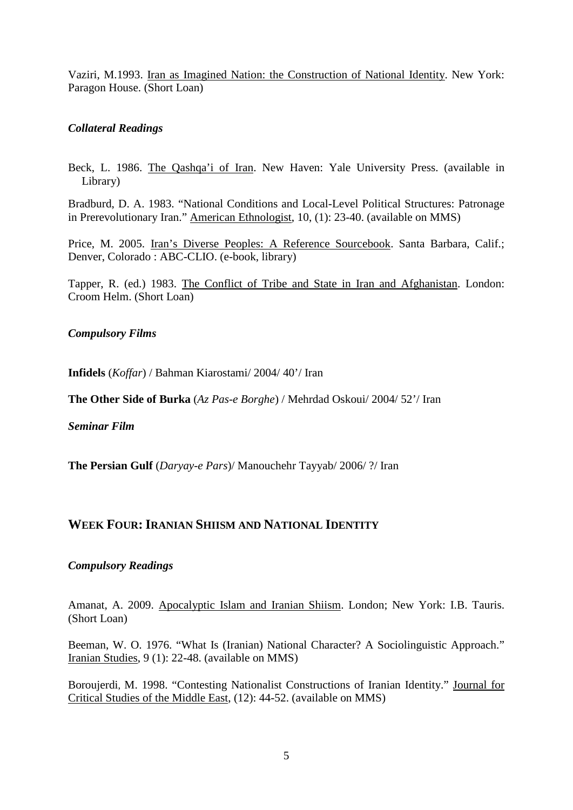Vaziri, M.1993. Iran as Imagined Nation: the Construction of National Identity. New York: Paragon House. (Short Loan)

#### *Collateral Readings*

Beck, L. 1986. The Qashqa'i of Iran. New Haven: Yale University Press. (available in Library)

Bradburd, D. A. 1983. "National Conditions and Local-Level Political Structures: Patronage in Prerevolutionary Iran." American Ethnologist, 10, (1): 23-40. (available on MMS)

Price, M. 2005. Iran's Diverse Peoples: A Reference Sourcebook. Santa Barbara, Calif.; Denver, Colorado : ABC-CLIO. (e-book, library)

Tapper, R. (ed.) 1983. The Conflict of Tribe and State in Iran and Afghanistan. London: Croom Helm. (Short Loan)

*Compulsory Films* 

**Infidels** (*Koffar*) / Bahman Kiarostami/ 2004/ 40'/ Iran

**The Other Side of Burka** (*Az Pas-e Borghe*) / Mehrdad Oskoui/ 2004/ 52'/ Iran

*Seminar Film*

**The Persian Gulf** (*Daryay-e Pars*)/ Manouchehr Tayyab/ 2006/ ?/ Iran

#### WEEK FOUR: IRANIAN SHIISM AND NATIONAL IDENTITY

#### *Compulsory Readings*

Amanat, A. 2009. Apocalyptic Islam and Iranian Shiism. London; New York: I.B. Tauris. (Short Loan)

Beeman, W. O. 1976. "What Is (Iranian) National Character? A Sociolinguistic Approach." Iranian Studies, 9 (1): 22-48. (available on MMS)

Boroujerdi, M. 1998. "Contesting Nationalist Constructions of Iranian Identity." Journal for Critical Studies of the Middle East, (12): 44-52. (available on MMS)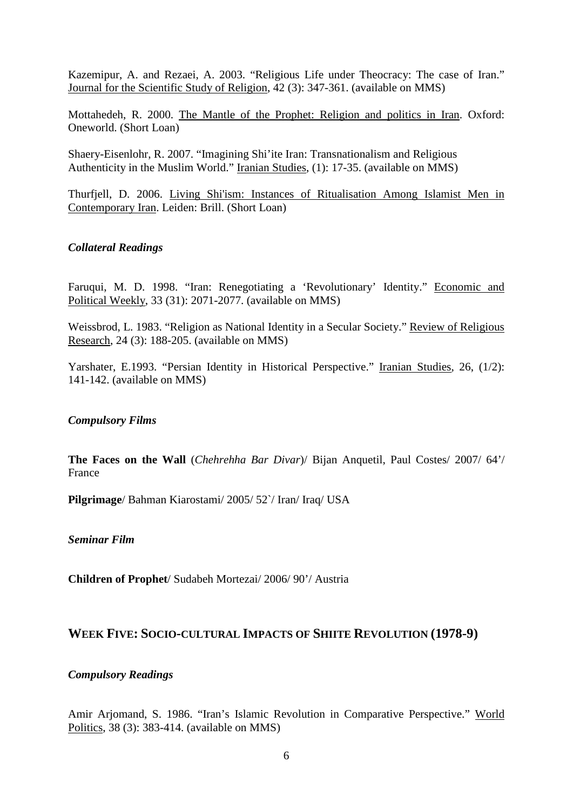Kazemipur, A. and Rezaei, A. 2003. "Religious Life under Theocracy: The case of Iran." Journal for the Scientific Study of Religion, 42 (3): 347-361. (available on MMS)

Mottahedeh, R. 2000. The Mantle of the Prophet: Religion and politics in Iran. Oxford: Oneworld. (Short Loan)

Shaery-Eisenlohr, R. 2007. "Imagining Shi'ite Iran: Transnationalism and Religious Authenticity in the Muslim World." Iranian Studies, (1): 17-35. (available on MMS)

Thurfjell, D. 2006. Living Shi'ism: Instances of Ritualisation Among Islamist Men in Contemporary Iran. Leiden: Brill. (Short Loan)

#### *Collateral Readings*

Faruqui, M. D. 1998. "Iran: Renegotiating a 'Revolutionary' Identity." Economic and Political Weekly, 33 (31): 2071-2077. (available on MMS)

Weissbrod, L. 1983. "Religion as National Identity in a Secular Society." Review of Religious Research, 24 (3): 188-205. (available on MMS)

Yarshater, E.1993. "Persian Identity in Historical Perspective." Iranian Studies, 26, (1/2): 141-142. (available on MMS)

#### *Compulsory Films*

**The Faces on the Wall** (*Chehrehha Bar Divar*)/ Bijan Anquetil, Paul Costes/ 2007/ 64'/ France

**Pilgrimage**/ Bahman Kiarostami/ 2005/ 52`/ Iran/ Iraq/ USA

*Seminar Film*

**Children of Prophet**/ Sudabeh Mortezai/ 2006/ 90'/ Austria

#### **WEEK FIVE: SOCIO-CULTURAL IMPACTS OF SHIITE REVOLUTION (1978-9)**

#### *Compulsory Readings*

Amir Arjomand, S. 1986. "Iran's Islamic Revolution in Comparative Perspective." World Politics, 38 (3): 383-414. (available on MMS)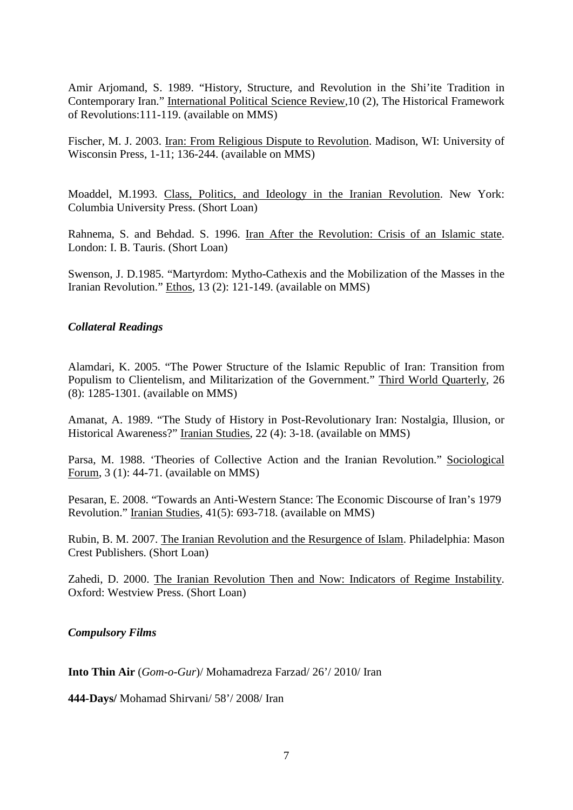Amir Arjomand, S. 1989. "History, Structure, and Revolution in the Shi'ite Tradition in Contemporary Iran." International Political Science Review,10 (2), The Historical Framework of Revolutions:111-119. (available on MMS)

Fischer, M. J. 2003. Iran: From Religious Dispute to Revolution. Madison, WI: University of Wisconsin Press, 1-11; 136-244. (available on MMS)

Moaddel, M.1993. Class, Politics, and Ideology in the Iranian Revolution. New York: Columbia University Press. (Short Loan)

Rahnema, S. and Behdad. S. 1996. Iran After the Revolution: Crisis of an Islamic state. London: I. B. Tauris. (Short Loan)

Swenson, J. D.1985. "Martyrdom: Mytho-Cathexis and the Mobilization of the Masses in the Iranian Revolution." Ethos, 13 (2): 121-149. (available on MMS)

#### *Collateral Readings*

Alamdari, K. 2005. "The Power Structure of the Islamic Republic of Iran: Transition from Populism to Clientelism, and Militarization of the Government." Third World Quarterly, 26 (8): 1285-1301. (available on MMS)

Amanat, A. 1989. "The Study of History in Post-Revolutionary Iran: Nostalgia, Illusion, or Historical Awareness?" Iranian Studies, 22 (4): 3-18. (available on MMS)

Parsa, M. 1988. 'Theories of Collective Action and the Iranian Revolution." Sociological Forum, 3 (1): 44-71. (available on MMS)

Pesaran, E. 2008. "Towards an Anti-Western Stance: The Economic Discourse of Iran's 1979 Revolution." Iranian Studies, 41(5): 693-718. (available on MMS)

Rubin, B. M. 2007. The Iranian Revolution and the Resurgence of Islam. Philadelphia: Mason Crest Publishers. (Short Loan)

Zahedi, D. 2000. The Iranian Revolution Then and Now: Indicators of Regime Instability. Oxford: Westview Press. (Short Loan)

*Compulsory Films*

**Into Thin Air** (*Gom-o-Gur*)/ Mohamadreza Farzad/ 26'/ 2010/ Iran

**444-Days/** Mohamad Shirvani/ 58'/ 2008/ Iran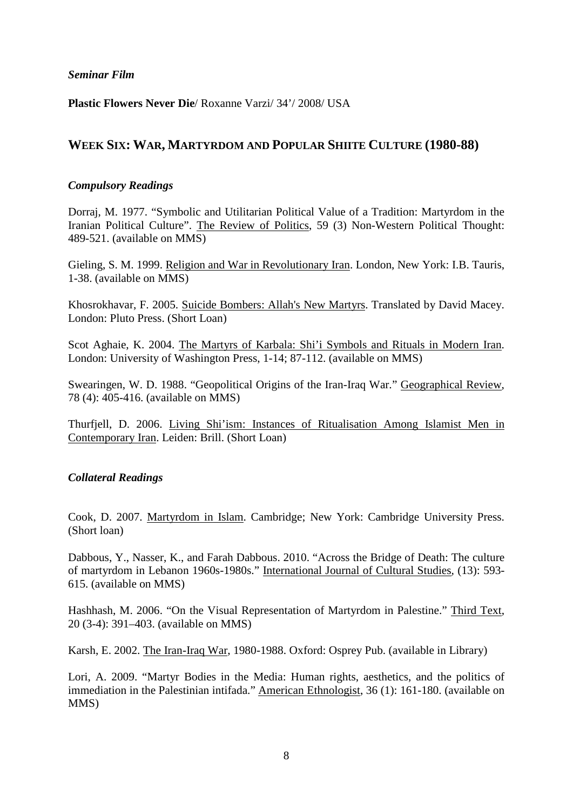#### *Seminar Film*

**Plastic Flowers Never Die**/ Roxanne Varzi/ 34'/ 2008/ USA

# **WEEK SIX: WAR, MARTYRDOM AND POPULAR SHIITE CULTURE (1980-88)**

#### *Compulsory Readings*

Dorraj, M. 1977. "Symbolic and Utilitarian Political Value of a Tradition: Martyrdom in the Iranian Political Culture". The Review of Politics, 59 (3) Non-Western Political Thought: 489-521. (available on MMS)

Gieling, S. M. 1999. Religion and War in Revolutionary Iran. London, New York: I.B. Tauris, 1-38. (available on MMS)

Khosrokhavar, F. 2005. Suicide Bombers: Allah's New Martyrs. Translated by David Macey. London: Pluto Press. (Short Loan)

Scot Aghaie, K. 2004. The Martyrs of Karbala: Shi'i Symbols and Rituals in Modern Iran. London: University of Washington Press, 1-14; 87-112. (available on MMS)

Swearingen, W. D. 1988. "Geopolitical Origins of the Iran-Iraq War." Geographical Review, 78 (4): 405-416. (available on MMS)

Thurfjell, D. 2006. Living Shi'ism: Instances of Ritualisation Among Islamist Men in Contemporary Iran. Leiden: Brill. (Short Loan)

#### *Collateral Readings*

Cook, D. 2007. Martyrdom in Islam. Cambridge; New York: Cambridge University Press. (Short loan)

Dabbous, Y., Nasser, K., and Farah Dabbous. 2010. "Across the Bridge of Death: The culture of martyrdom in Lebanon 1960s-1980s." International Journal of Cultural Studies*,* (13): 593- 615. (available on MMS)

Hashhash, M. 2006. "On the Visual Representation of Martyrdom in Palestine." Third Text, 20 (3-4): 391–403. (available on MMS)

Karsh, E. 2002. The Iran-Iraq War, 1980-1988. Oxford: Osprey Pub. (available in Library)

Lori, A. 2009. "Martyr Bodies in the Media: Human rights, aesthetics, and the politics of immediation in the Palestinian intifada." American Ethnologist, 36 (1): 161-180. (available on MMS)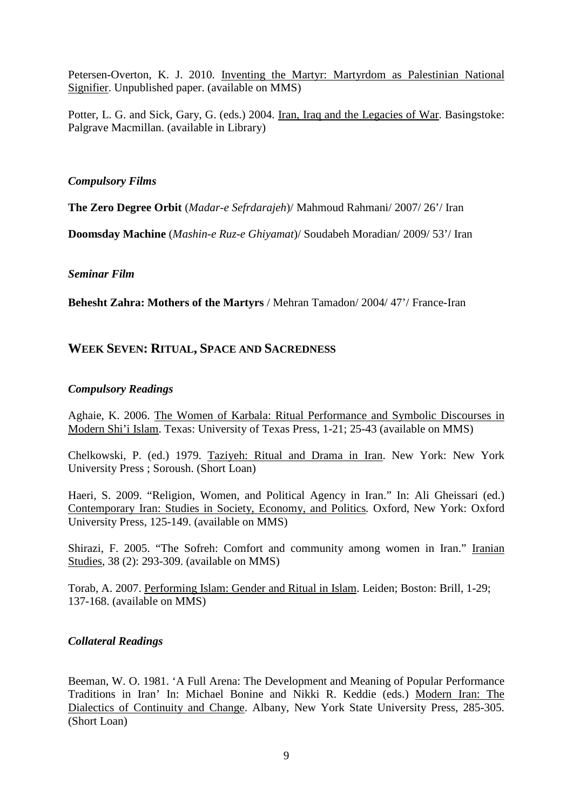Petersen-Overton, K. J. 2010. Inventing the Martyr: Martyrdom as Palestinian National Signifier. Unpublished paper. (available on MMS)

Potter, L. G. and Sick, Gary, G. (eds.) 2004. Iran, Iraq and the Legacies of War. Basingstoke: Palgrave Macmillan. (available in Library)

#### *Compulsory Films*

**The Zero Degree Orbit** (*Madar-e Sefrdarajeh*)/ Mahmoud Rahmani/ 2007/ 26'/ Iran

**Doomsday Machine** (*Mashin-e Ruz-e Ghiyamat*)/ Soudabeh Moradian/ 2009/ 53'/ Iran

#### *Seminar Film*

**Behesht Zahra: Mothers of the Martyrs** / Mehran Tamadon/ 2004/ 47'/ France-Iran

# **WEEK SEVEN: RITUAL, SPACE AND SACREDNESS**

#### *Compulsory Readings*

Aghaie, K. 2006. The Women of Karbala: Ritual Performance and Symbolic Discourses in Modern Shi'i Islam. Texas: University of Texas Press, 1-21; 25-43 (available on MMS)

Chelkowski, P. (ed.) 1979. Taziyeh: Ritual and Drama in Iran. New York: New York University Press ; Soroush. (Short Loan)

Haeri, S. 2009. "Religion, Women, and Political Agency in Iran." In: Ali Gheissari (ed.) Contemporary Iran: Studies in Society, Economy, and Politics*.* Oxford, New York: Oxford University Press, 125-149. (available on MMS)

Shirazi, F. 2005. "The Sofreh: Comfort and community among women in Iran." Iranian Studies, 38 (2): 293-309. (available on MMS)

Torab, A. 2007. Performing Islam: Gender and Ritual in Islam. Leiden; Boston: Brill, 1-29; 137-168. (available on MMS)

#### *Collateral Readings*

Beeman, W. O. 1981. 'A Full Arena: The Development and Meaning of Popular Performance Traditions in Iran' In: Michael Bonine and Nikki R. Keddie (eds.) Modern Iran: The Dialectics of Continuity and Change. Albany, New York State University Press, 285-305. (Short Loan)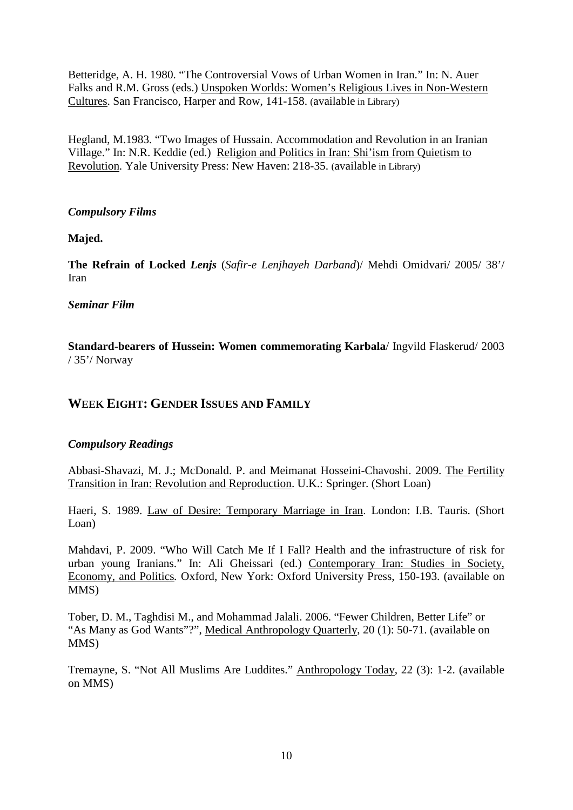Betteridge, A. H. 1980. "The Controversial Vows of Urban Women in Iran." In: N. Auer Falks and R.M. Gross (eds.) Unspoken Worlds: Women's Religious Lives in Non-Western Cultures. San Francisco, Harper and Row, 141-158. (available in Library)

Hegland, M.1983. "Two Images of Hussain. Accommodation and Revolution in an Iranian Village." In: N.R. Keddie (ed.) Religion and Politics in Iran: Shi'ism from Quietism to Revolution*.* Yale University Press: New Haven: 218-35. (available in Library)

#### *Compulsory Films*

**Majed.**

**The Refrain of Locked** *Lenjs* (*Safir-e Lenjhayeh Darband*)/ Mehdi Omidvari/ 2005/ 38'/ Iran

#### *Seminar Film*

**Standard-bearers of Hussein: Women commemorating Karbala**/ Ingvild Flaskerud/ 2003 / 35'/ Norway

## **WEEK EIGHT: GENDER ISSUES AND FAMILY**

#### *Compulsory Readings*

Abbasi-Shavazi, M. J.; McDonald. P. and Meimanat Hosseini-Chavoshi. 2009. The Fertility Transition in Iran: Revolution and Reproduction. U.K.: Springer. (Short Loan)

Haeri, S. 1989. Law of Desire: Temporary Marriage in Iran. London: I.B. Tauris. (Short Loan)

Mahdavi, P. 2009. "Who Will Catch Me If I Fall? Health and the infrastructure of risk for urban young Iranians." In: Ali Gheissari (ed.) Contemporary Iran: Studies in Society, Economy, and Politics*.* Oxford, New York: Oxford University Press, 150-193. (available on MMS)

Tober, D. M., Taghdisi M., and Mohammad Jalali. 2006. "Fewer Children, Better Life" or "As Many as God Wants"?", Medical Anthropology Quarterly, 20 (1): 50-71. (available on MMS)

Tremayne, S. "Not All Muslims Are Luddites." Anthropology Today, 22 (3): 1-2. (available on MMS)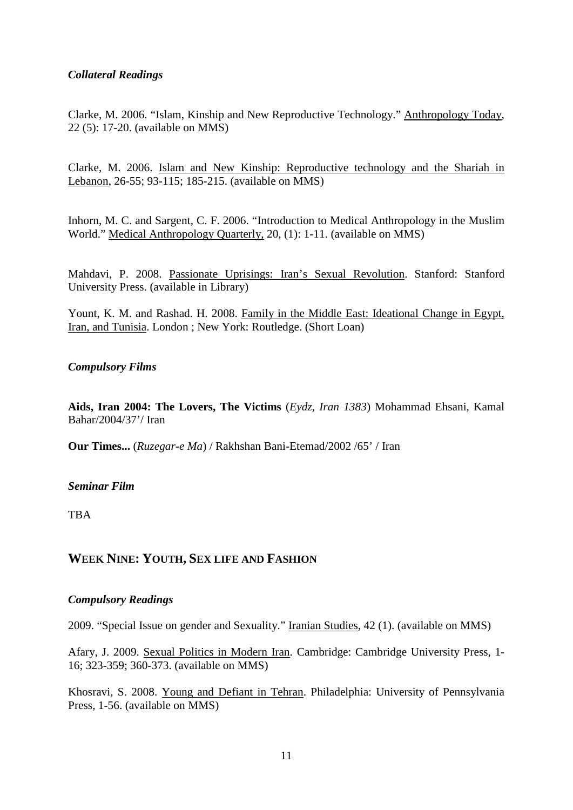### *Collateral Readings*

Clarke, M. 2006. "Islam, Kinship and New Reproductive Technology." Anthropology Today, 22 (5): 17-20. (available on MMS)

Clarke, M. 2006. Islam and New Kinship: Reproductive technology and the Shariah in Lebanon, 26-55; 93-115; 185-215. (available on MMS)

Inhorn, M. C. and Sargent, C. F. 2006. "Introduction to Medical Anthropology in the Muslim World." Medical Anthropology Quarterly, 20, (1): 1-11. (available on MMS)

Mahdavi, P. 2008. Passionate Uprisings: Iran's Sexual Revolution. Stanford: Stanford University Press. (available in Library)

Yount, K. M. and Rashad. H. 2008. Family in the Middle East: Ideational Change in Egypt, Iran, and Tunisia. London ; New York: Routledge. (Short Loan)

#### *Compulsory Films*

**Aids, Iran 2004: The Lovers, The Victims** (*Eydz, Iran 1383*) Mohammad Ehsani, Kamal Bahar/2004/37'/ Iran

**Our Times...** (*Ruzegar-e Ma*) / Rakhshan Bani-Etemad/2002 /65' / Iran

#### *Seminar Film*

TBA

## **WEEK NINE: YOUTH, SEX LIFE AND FASHION**

#### *Compulsory Readings*

2009. "Special Issue on gender and Sexuality." Iranian Studies, 42 (1). (available on MMS)

Afary, J. 2009. Sexual Politics in Modern Iran. Cambridge: Cambridge University Press, 1- 16; 323-359; 360-373. (available on MMS)

Khosravi, S. 2008. Young and Defiant in Tehran. Philadelphia: University of Pennsylvania Press, 1-56. (available on MMS)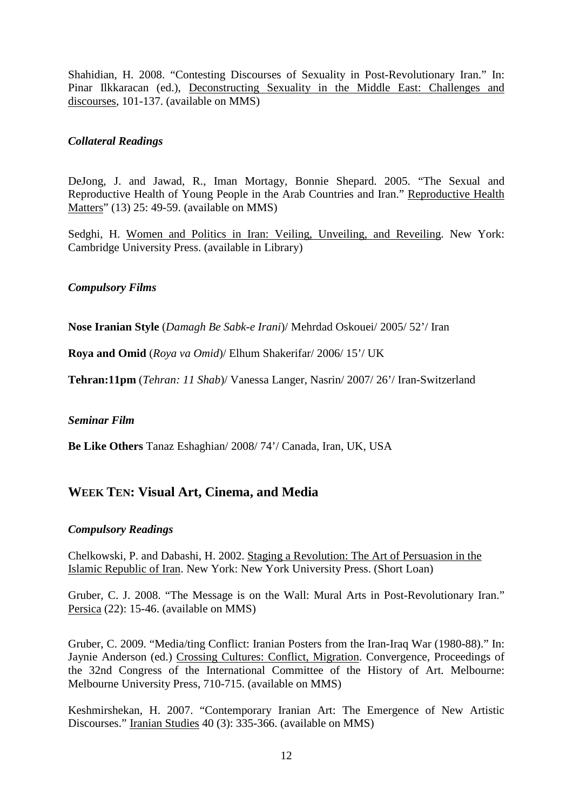Shahidian, H. 2008. "Contesting Discourses of Sexuality in Post-Revolutionary Iran." In: Pinar Ilkkaracan (ed.), Deconstructing Sexuality in the Middle East: Challenges and discourses, 101-137. (available on MMS)

#### *Collateral Readings*

DeJong, J. and Jawad, R., Iman Mortagy, Bonnie Shepard. 2005. "The Sexual and Reproductive Health of Young People in the Arab Countries and Iran." Reproductive Health Matters" (13) 25: 49-59. (available on MMS)

Sedghi, H. Women and Politics in Iran: Veiling, Unveiling, and Reveiling. New York: Cambridge University Press. (available in Library)

#### *Compulsory Films*

**Nose Iranian Style** (*Damagh Be Sabk-e Irani*)/ Mehrdad Oskouei/ 2005/ 52'/ Iran

**Roya and Omid** (*Roya va Omid*)/ Elhum Shakerifar/ 2006/ 15'/ UK

**Tehran:11pm** (*Tehran: 11 Shab*)/ Vanessa Langer, Nasrin/ 2007/ 26'/ Iran-Switzerland

#### *Seminar Film*

**Be Like Others** Tanaz Eshaghian/ 2008/ 74'/ Canada, Iran, UK, USA

## **WEEK TEN: Visual Art, Cinema, and Media**

#### *Compulsory Readings*

Chelkowski, P. and Dabashi, H. 2002. Staging a Revolution: The Art of Persuasion in the Islamic Republic of Iran. New York: New York University Press. (Short Loan)

Gruber, C. J. 2008. "The Message is on the Wall: Mural Arts in Post-Revolutionary Iran." Persica (22): 15-46. (available on MMS)

Gruber, C. 2009. "Media/ting Conflict: Iranian Posters from the Iran-Iraq War (1980-88)." In: Jaynie Anderson (ed.) Crossing Cultures: Conflict, Migration. Convergence, Proceedings of the 32nd Congress of the International Committee of the History of Art. Melbourne: Melbourne University Press, 710-715. (available on MMS)

Keshmirshekan, H. 2007. "Contemporary Iranian Art: The Emergence of New Artistic Discourses." Iranian Studies 40 (3): 335-366. (available on MMS)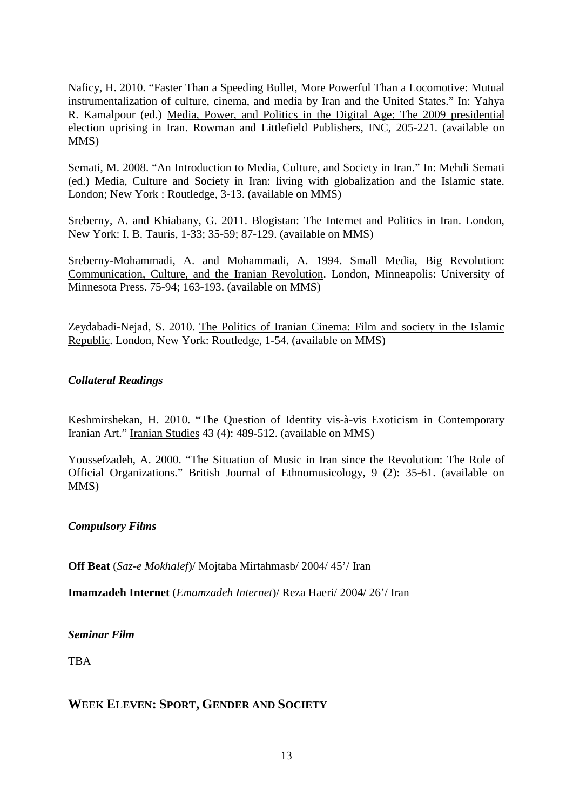Naficy, H. 2010. "Faster Than a Speeding Bullet, More Powerful Than a Locomotive: Mutual instrumentalization of culture, cinema, and media by Iran and the United States." In: Yahya R. Kamalpour (ed.) Media, Power, and Politics in the Digital Age: The 2009 presidential election uprising in Iran. Rowman and Littlefield Publishers, INC, 205-221. (available on MMS)

Semati, M. 2008. "An Introduction to Media, Culture, and Society in Iran." In: Mehdi Semati (ed.) Media, Culture and Society in Iran: living with globalization and the Islamic state. London; New York : Routledge, 3-13. (available on MMS)

Sreberny, A. and Khiabany, G. 2011. Blogistan: The Internet and Politics in Iran. London, New York: I. B. Tauris, 1-33; 35-59; 87-129. (available on MMS)

Sreberny-Mohammadi, A. and Mohammadi, A. 1994. Small Media, Big Revolution: Communication, Culture, and the Iranian Revolution. London, Minneapolis: University of Minnesota Press. 75-94; 163-193. (available on MMS)

Zeydabadi-Nejad, S. 2010. The Politics of Iranian Cinema: Film and society in the Islamic Republic. London, New York: Routledge, 1-54. (available on MMS)

#### *Collateral Readings*

Keshmirshekan, H. 2010. "The Question of Identity vis-à-vis Exoticism in Contemporary Iranian Art." Iranian Studies 43 (4): 489-512. (available on MMS)

Youssefzadeh, A. 2000. "The Situation of Music in Iran since the Revolution: The Role of Official Organizations." British Journal of Ethnomusicology, 9 (2): 35-61. (available on MMS)

#### *Compulsory Films*

**Off Beat** (*Saz-e Mokhalef*)/ Mojtaba Mirtahmasb/ 2004/ 45'/ Iran

**Imamzadeh Internet** (*Emamzadeh Internet*)/ Reza Haeri/ 2004/ 26'/ Iran

#### *Seminar Film*

**TBA** 

#### **WEEK ELEVEN: SPORT, GENDER AND SOCIETY**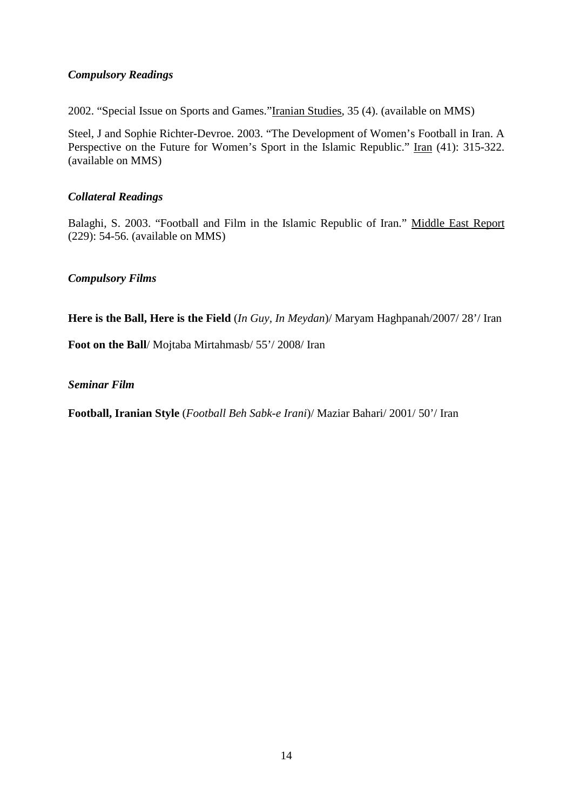#### *Compulsory Readings*

2002. "Special Issue on Sports and Games."Iranian Studies, 35 (4). (available on MMS)

Steel, J and Sophie Richter-Devroe. 2003. "The Development of Women's Football in Iran. A Perspective on the Future for Women's Sport in the Islamic Republic." Iran (41): 315-322. (available on MMS)

#### *Collateral Readings*

Balaghi, S. 2003. "Football and Film in the Islamic Republic of Iran." Middle East Report (229): 54-56. (available on MMS)

*Compulsory Films*

**Here is the Ball, Here is the Field** (*In Guy, In Meydan*)/ Maryam Haghpanah/2007/ 28'/ Iran

**Foot on the Ball**/ Mojtaba Mirtahmasb/ 55'/ 2008/ Iran

*Seminar Film*

**Football, Iranian Style** (*Football Beh Sabk-e Irani*)/ Maziar Bahari/ 2001/ 50'/ Iran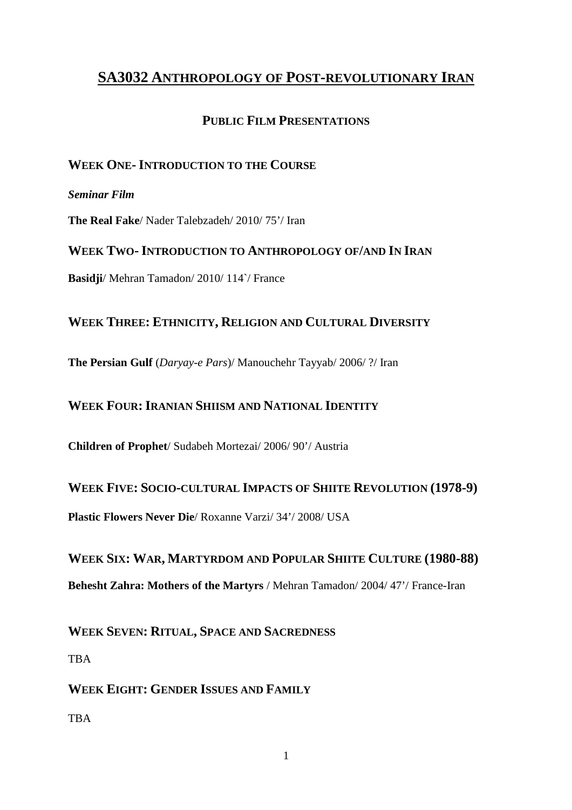# **SA3032 ANTHROPOLOGY OF POST-REVOLUTIONARY IRAN**

# **PUBLIC FILM PRESENTATIONS**

# **WEEK ONE-INTRODUCTION TO THE COURSE**

#### *Seminar Film*

**The Real Fake**/ Nader Talebzadeh/ 2010/ 75'/ Iran

**WEEK TWO-INTRODUCTION TO ANTHROPOLOGY OF/AND IN IRAN Basidji**/ Mehran Tamadon/ 2010/ 114`/ France

# **WEEK THREE: ETHNICITY, RELIGION AND CULTURAL DIVERSITY**

**The Persian Gulf** (*Daryay-e Pars*)/ Manouchehr Tayyab/ 2006/ ?/ Iran

## **WEEK FOUR:IRANIAN SHIISM AND NATIONAL IDENTITY**

**Children of Prophet**/ Sudabeh Mortezai/ 2006/ 90'/ Austria

**WEEK FIVE: SOCIO-CULTURAL IMPACTS OF SHIITE REVOLUTION (1978-9)** 

**Plastic Flowers Never Die**/ Roxanne Varzi/ 34'/ 2008/ USA

**WEEK SIX: WAR, MARTYRDOM AND POPULAR SHIITE CULTURE (1980-88) Behesht Zahra: Mothers of the Martyrs** / Mehran Tamadon/ 2004/ 47'/ France-Iran

**WEEK SEVEN: RITUAL, SPACE AND SACREDNESS**

**TBA** 

**WEEK EIGHT: GENDER ISSUES AND FAMILY**

**TBA**